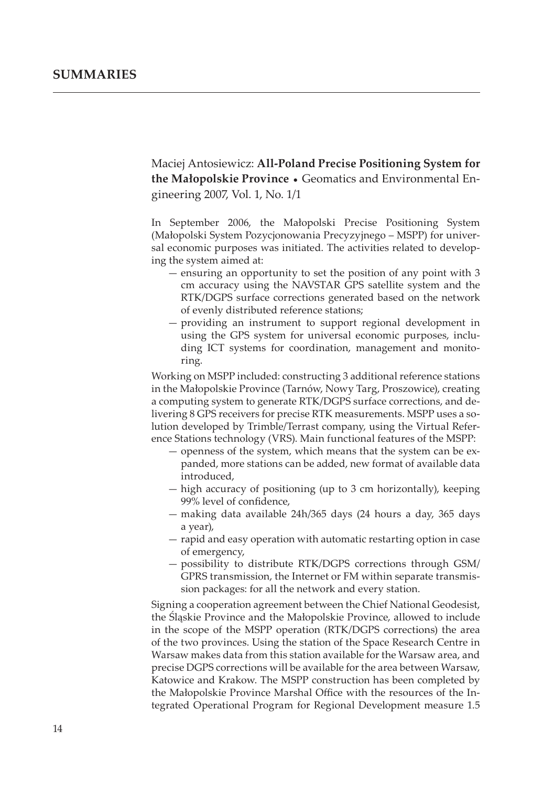Maciej Antosiewicz: All-Poland Precise Positioning System for the Małopolskie Province • Geomatics and Environmental Engineering 2007, Vol. 1, No. 1/1

In September 2006, the Małopolski Precise Positioning System (Małopolski System Pozycjonowania Precyzyjnego – MSPP) for universal economic purposes was initiated. The activities related to developing the system aimed at:

- ensuring an opportunity to set the position of any point with 3 cm accuracy using the NAVSTAR GPS satellite system and the RTK/DGPS surface corrections generated based on the network of evenly distributed reference stations;
- providing an instrument to support regional development in using the GPS system for universal economic purposes, including ICT systems for coordination, management and monitoring.

Working on MSPP included: constructing 3 additional reference stations in the Małopolskie Province (Tarnów, Nowy Targ, Proszowice), creating a computing system to generate RTK/DGPS surface corrections, and delivering 8 GPS receivers for precise RTK measurements. MSPP uses a so lution developed by Trimble/Terrast company, using the Virtual Reference Stations technology (VRS). Main functional features of the MSPP:

- openness of the system, which means that the system can be expanded, more stations can be added, new format of available data introduced,
- high accuracy of positioning (up to 3 cm horizontally), keeping 99% level of confidence,
- making data available 24h/365 days (24 hours a day, 365 days a year),
- rapid and easy operation with automatic restarting option in case of emergency,
- possibility to distribute RTK/DGPS corrections through GSM/ GPRS transmission, the Internet or FM within separate transmission packages: for all the network and every station.

Signing a cooperation agreement between the Chief National Geodesist, the Śląskie Province and the Małopolskie Province, allowed to include in the scope of the MSPP operation (RTK/DGPS corrections) the area of the two provinces. Using the station of the Space Research Centre in Warsaw makes data from this station available for the Warsaw area, and precise DGPS corrections will be available for the area between Warsaw, Katowice and Krakow. The MSPP construction has been completed by the Małopolskie Province Marshal Office with the resources of the Integrated Operational Program for Regional Development measure 1.5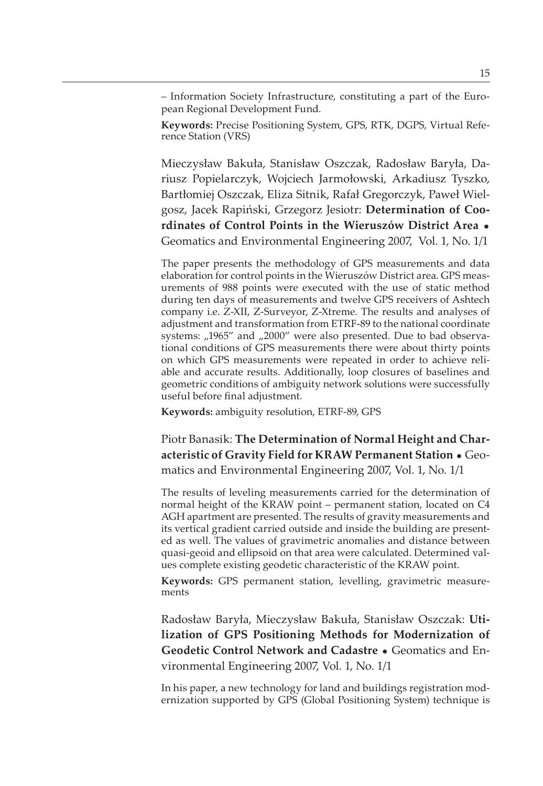- Information Society Infrastructure, constituting a part of the European Regional Development Fund.

**Keywords:** Precise Positioning System, GPS, RTK, DGPS, Virtual Reference Station (VRS)

Mieczysław Bakuła, Stanisław Oszczak, Radosław Baryła, Dariusz Popielarczyk, Wojciech Jarmołowski, Arkadiusz Tyszko, Bartłomiej Oszczak, Eliza Sitnik, Rafał Gregorczyk, Paweł Wielgosz, Jacek Rapiński, Grzegorz Jesiotr: Determination of Coordinates of Control Points in the Wieruszów District Area . Geomatics and Environmental Engineering 2007, Vol. 1, No. 1/1

The paper presents the methodology of GPS measurements and data elaboration for control points in the Wieruszów District area. GPS measurements of 988 points were executed with the use of static method during ten days of measurements and twelve GPS receivers of Ashtech company i.e. Z-XII, Z-Surveyor, Z-Xtreme. The results and analyses of adjustment and transformation from ETRF-89 to the national coordinate systems: "1965" and "2000" were also presented. Due to bad observational conditions of GPS measurements there were about thirty points on which GPS measurements were repeated in order to achieve reliable and accurate results. Additionally, loop closures of baselines and geometric conditions of ambiguity network solutions were successfully useful before final adjustment.

Keywords: ambiguity resolution, ETRF-89, GPS

Piotr Banasik: The Determination of Normal Height and Characteristic of Gravity Field for KRAW Permanent Station . Geomatics and Environmental Engineering 2007, Vol. 1, No. 1/1

The results of leveling measurements carried for the determination of normal height of the KRAW point - permanent station, located on C4 AGH apartment are presented. The results of gravity measurements and its vertical gradient carried outside and inside the building are presented as well. The values of gravimetric anomalies and distance between quasi-geoid and ellipsoid on that area were calculated. Determined values complete existing geodetic characteristic of the KRAW point.

Keywords: GPS permanent station, levelling, gravimetric measurements

Radosław Baryła, Mieczysław Bakuła, Stanisław Oszczak: Utilization of GPS Positioning Methods for Modernization of **Geodetic Control Network and Cadastre • Geomatics and En**vironmental Engineering 2007, Vol. 1, No. 1/1

In his paper, a new technology for land and buildings registration modernization supported by GPS (Global Positioning System) technique is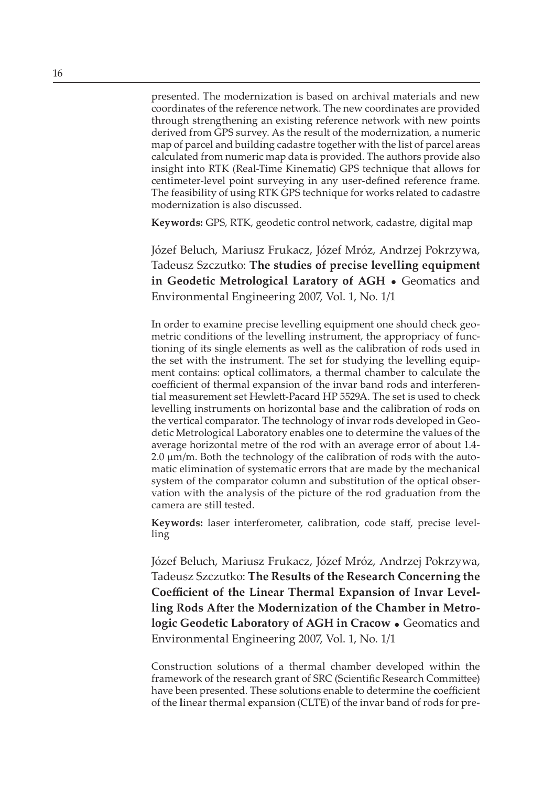presented. The modernization is based on archival materials and new coordinates of the reference network. The new coordinates are provided through strengthening an existing reference network with new points derived from GPS survey. As the result of the modernization, a numeric map of parcel and building cadastre together with the list of parcel areas calculated from numeric map data is provided. The authors provide also insight into RTK (Real-Time Kinematic) GPS technique that allows for centimeter-level point surveying in any user-defined reference frame. The feasibility of using RTK GPS technique for works related to cadastre modernization is also discussed.

Keywords: GPS, RTK, geodetic control network, cadastre, digital map

Józef Beluch, Mariusz Frukacz, Józef Mróz, Andrzej Pokrzywa, Tadeusz Szczutko: The studies of precise levelling equipment **in Geodetic Metrological Laratory of AGH •** Geomatics and Environmental Engineering 2007, Vol. 1, No. 1/1

In order to examine precise levelling equipment one should check geometric conditions of the levelling instrument, the appropriacy of functioning of its single elements as well as the calibration of rods used in the set with the instrument. The set for studying the levelling equipment contains: optical collimators, a thermal chamber to calculate the coefficient of thermal expansion of the invar band rods and interferential measurement set Hewlett-Pacard HP 5529A. The set is used to check levelling instruments on horizontal base and the calibration of rods on the vertical comparator. The technology of invar rods developed in Geodetic Metrological Laboratory enables one to determine the values of the average horizontal metre of the rod with an average error of about 1.4- $2.0 \mu m/m$ . Both the technology of the calibration of rods with the automatic elimination of systematic errors that are made by the mechanical system of the comparator column and substitution of the optical observation with the analysis of the picture of the rod graduation from the camera are still tested.

Keywords: laser interferometer, calibration, code staff, precise levelling

Józef Beluch, Mariusz Frukacz, Józef Mróz, Andrzej Pokrzywa, Tadeusz Szczutko: The Results of the Research Concerning the Coefficient of the Linear Thermal Expansion of Invar Levelling Rods After the Modernization of the Chamber in Metro**logic Geodetic Laboratory of AGH in Cracow •** Geomatics and Environmental Engineering 2007, Vol. 1, No. 1/1

Construction solutions of a thermal chamber developed within the framework of the research grant of SRC (Scientific Research Committee) have been presented. These solutions enable to determine the coefficient of the linear thermal expansion (CLTE) of the invar band of rods for pre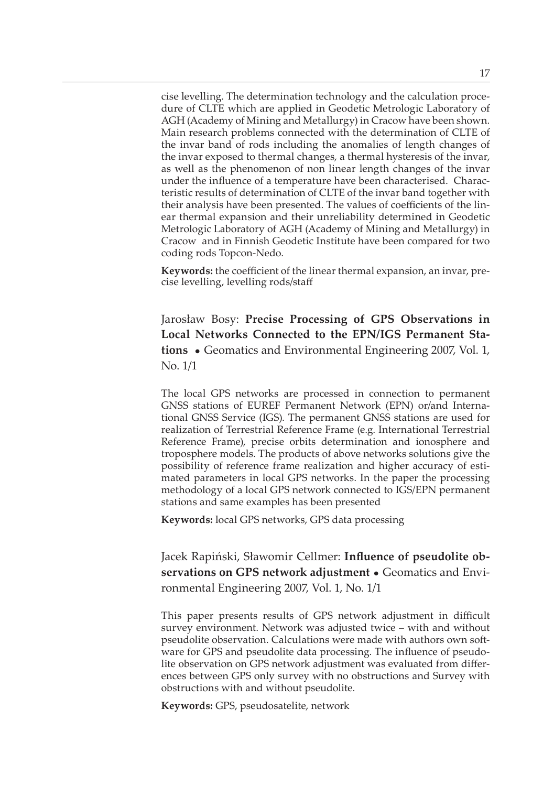cise levelling. The determination technology and the calculation procedure of CLTE which are applied in Geodetic Metrologic Laboratory of AGH (Academy of Mining and Metallurgy) in Cracow have been shown. Main research problems connected with the determination of CLTE of the invar band of rods including the anomalies of length changes of the invar exposed to thermal changes, a thermal hysteresis of the invar, as well as the phenomenon of non linear length changes of the invar under the influence of a temperature have been characterised. Characteristic results of determination of CLTE of the invar band together with their analysis have been presented. The values of coefficients of the linear thermal expansion and their unreliability determined in Geodetic Metrologic Laboratory of AGH (Academy of Mining and Metallurgy) in Cracow and in Finnish Geodetic Institute have been compared for two coding rods Topcon-Nedo.

**Keywords:** the coefficient of the linear thermal expansion, an invar, precise levelling, levelling rods/staff

Jarosław Bosy: Precise Processing of GPS Observations in **Local Networks Connected to the EPN/IGS Permanent Sta**tions • Geomatics and Environmental Engineering 2007, Vol. 1, No. 1/1

The local GPS networks are processed in connection to permanent GNSS stations of EUREF Permanent Network (EPN) or/and Interna tional GNSS Service (IGS). The permanent GNSS stations are used for realization of Terrestrial Reference Frame (e.g. International Terrestrial Reference Frame), precise orbits determination and ionosphere and troposphere models. The products of above networks solutions give the possibility of reference frame realization and higher accuracy of estimated parameters in local GPS networks. In the paper the processing methodology of a local GPS network connected to IGS/EPN permanent stations and same examples has been presented

**Keywords:** local GPS networks, GPS data processing

Jacek Rapiński, Sławomir Cellmer: Influence of pseudolite observations on GPS network adjustment . Geomatics and Environmental Engineering 2007, Vol. 1, No. 1/1

This paper presents results of GPS network adjustment in difficult survey environment. Network was adjusted twice – with and without pseudolite observation. Calculations were made with authors own software for GPS and pseudolite data processing. The influence of pseudolite observation on GPS network adjustment was evaluated from differences between GPS only survey with no obstructions and Survey with obstructions with and without pseudolite.

Keywords: GPS, pseudosatelite, network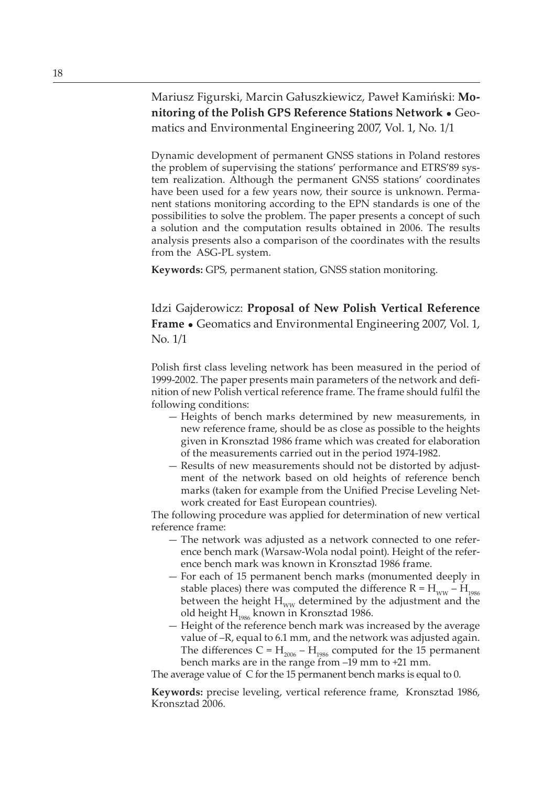Mariusz Figurski, Marcin Gałuszkiewicz, Paweł Kamiński: Monitoring of the Polish GPS Reference Stations Network . Geomatics and Environmental Engineering 2007, Vol. 1, No. 1/1

Dynamic development of permanent GNSS stations in Poland restores the problem of supervising the stations' performance and ETRS'89 system realization. Although the permanent GNSS stations' coordinates have been used for a few years now, their source is unknown. Permanent stations monitoring according to the EPN standards is one of the possibilities to solve the problem. The paper presents a concept of such a solution and the computation results obtained in 2006. The results analysis presents also a comparison of the coordinates with the results from the ASG-PL system.

Keywords: GPS, permanent station, GNSS station monitoring.

Idzi Gajderowicz: Proposal of New Polish Vertical Reference **Frame •** Geomatics and Environmental Engineering 2007, Vol. 1, No. 1/1

Polish first class leveling network has been measured in the period of 1999-2002. The paper presents main parameters of the network and definition of new Polish vertical reference frame. The frame should fulfil the following conditions:

- $-$  Heights of bench marks determined by new measurements, in new reference frame, should be as close as possible to the heights given in Kronsztad 1986 frame which was created for elaboration of the measurements carried out in the period 1974-1982.
- Results of new measurements should not be distorted by adjustment of the network based on old heights of reference bench marks (taken for example from the Unified Precise Leveling Network created for East European countries).

The following procedure was applied for determination of new vertical reference frame:

- The network was adjusted as a network connected to one reference bench mark (Warsaw-Wola nodal point). Height of the reference bench mark was known in Kronsztad 1986 frame.
- For each of 15 permanent bench marks (monumented deeply in stable places) there was computed the difference R =  $\rm{H_{\rm{ww}}-H_{\rm{1986}}}$ between the height  $\rm{H}_{_{WW}}$  determined by the adjustment and the old height  $\mathrm{H_{_{1986}}}$  known in Kronsztad 1986.
- $-$  Height of the reference bench mark was increased by the average value of  $-R$ , equal to 6.1 mm, and the network was adjusted again. The differences  $C = H_{2006} - H_{1986}$  computed for the 15 permanent bench marks are in the range from -19 mm to +21 mm.

The average value of C for the 15 permanent bench marks is equal to 0.

Keywords: precise leveling, vertical reference frame, Kronsztad 1986, Kronsztad 2006.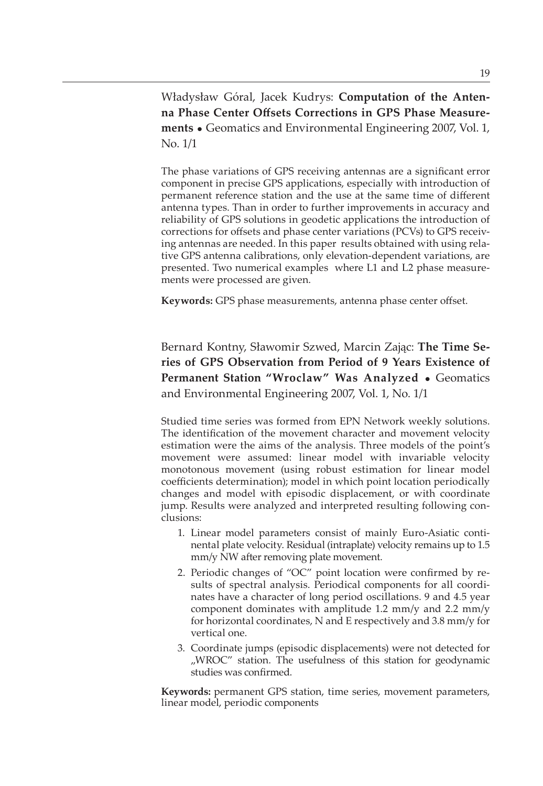Władysław Góral, Jacek Kudrys: Computation of the Antenna Phase Center Offsets Corrections in GPS Phase Measure- • Geomatics and Environmental Engineering 2007, Vol. 1, No. 1/1

The phase variations of GPS receiving antennas are a significant error component in precise GPS applications, especially with introduction of permanent reference station and the use at the same time of different antenna types. Than in order to further improvements in accuracy and reliability of GPS solutions in geodetic applications the introduction of corrections for offsets and phase center variations (PCVs) to GPS receiving antennas are needed. In this paper results obtained with using relative GPS antenna calibrations, only elevation-dependent variations, are presented. Two numerical examples where L1 and L2 phase measurements were processed are given.

**Keywords:** GPS phase measurements, antenna phase center offset.

Bernard Kontny, Sławomir Szwed, Marcin Zając: The Time Series of GPS Observation from Period of 9 Years Existence of Permanent Station "Wroclaw" Was Analyzed . Geomatics and Environmental Engineering 2007, Vol. 1, No. 1/1

Studied time series was formed from EPN Network weekly solutions. The identification of the movement character and movement velocity estimation were the aims of the analysis. Three models of the point's movement were assumed: linear model with invariable velocity monotonous movement (using robust estimation for linear model coefficients determination); model in which point location periodically changes and model with episodic displacement, or with coordinate jump. Results were analyzed and interpreted resulting following conclusions:

- 1. Linear model parameters consist of mainly Euro-Asiatic continental plate velocity. Residual (intraplate) velocity remains up to 1.5 mm/y NW after removing plate movement.
- 2. Periodic changes of "OC" point location were confirmed by results of spectral analysis. Periodical components for all coordinates have a character of long period oscillations. 9 and 4.5 year component dominates with amplitude 1.2 mm/y and 2.2 mm/y for horizontal coordinates, N and E respectively and 3.8 mm/y for vertical one.
- 3. Coordinate jumps (episodic displacements) were not detected for "WROC" station. The usefulness of this station for geodynamic studies was confirmed.

Keywords: permanent GPS station, time series, movement parameters, linear model, periodic components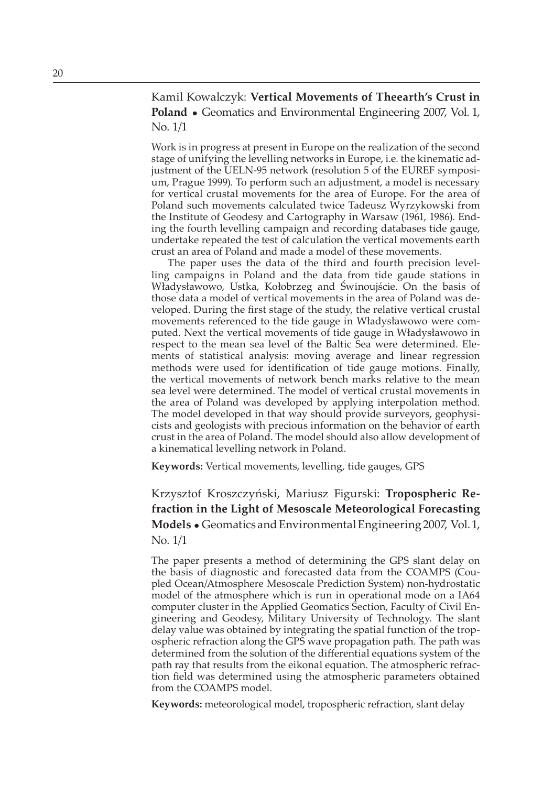Kamil Kowalczyk: Vertical Movements of Theearth's Crust in Poland • Geomatics and Environmental Engineering 2007, Vol. 1, No. 1/1

Work is in progress at present in Europe on the realization of the second stage of unifying the levelling networks in Europe, i.e. the kinematic adjustment of the UELN-95 network (resolution 5 of the EUREF symposium, Prague 1999). To perform such an adjustment, a model is necessary for vertical crustal movements for the area of Europe. For the area of Poland such movements calculated twice Tadeusz Wyrzykowski from the Institute of Geodesy and Cartography in Warsaw (1961, 1986). Ending the fourth levelling campaign and recording databases tide gauge, undertake repeated the test of calculation the vertical movements earth crust an area of Poland and made a model of these movements.

The paper uses the data of the third and fourth precision levelling campaigns in Poland and the data from tide gaude stations in Władysławowo, Ustka, Kołobrzeg and Świnoujście. On the basis of those data a model of vertical movements in the area of Poland was developed. During the first stage of the study, the relative vertical crustal movements referenced to the tide gauge in Władysławowo were computed. Next the vertical movements of tide gauge in Władysławowo in respect to the mean sea level of the Baltic Sea were determined. Elements of statistical analysis: moving average and linear regression methods were used for identification of tide gauge motions. Finally, the vertical movements of network bench marks relative to the mean sea level were determined. The model of vertical crustal movements in the area of Poland was developed by applying interpolation method. The model developed in that way should provide surveyors, geophysicists and geologists with precious information on the behavior of earth crust in the area of Poland. The model should also allow development of a kinematical levelling network in Poland.

**Keywords:** Vertical movements, levelling, tide gauges, GPS

Krzysztof Kroszczyński, Mariusz Figurski: Tropospheric Refraction in the Light of Mesoscale Meteorological Forecasting Models • Geomatics and Environmental Engineering 2007, Vol. 1, No. 1/1

The paper presents a method of determining the GPS slant delay on the basis of diagnostic and forecasted data from the COAMPS (Coupled Ocean/Atmosphere Mesoscale Prediction System) non-hydrostatic model of the atmosphere which is run in operational mode on a IA64 computer cluster in the Applied Geomatics Section, Faculty of Civil Engineering and Geodesy, Military University of Technology. The slant delay value was obtained by integrating the spatial function of the tropospheric refraction along the GPS wave propagation path. The path was determined from the solution of the differential equations system of the path ray that results from the eikonal equation. The atmospheric refraction field was determined using the atmospheric parameters obtained from the COAMPS model.

Keywords: meteorological model, tropospheric refraction, slant delay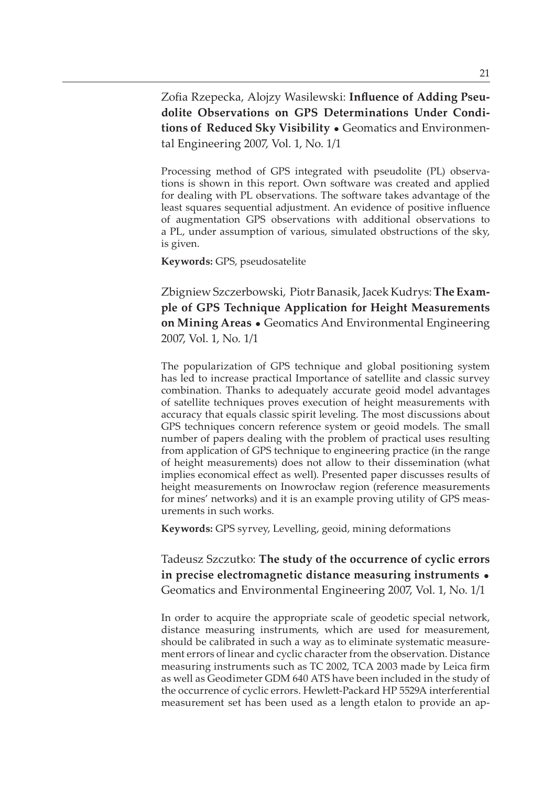Zofia Rzepecka, Alojzy Wasilewski: Influence of Adding Pseudolite Observations on GPS Determinations Under Conditions of Reduced Sky Visibility . Geomatics and Environmental Engineering 2007, Vol. 1, No. 1/1

Processing method of GPS integrated with pseudolite (PL) observations is shown in this report. Own software was created and applied for dealing with PL observations. The software takes advantage of the least squares sequential adjustment. An evidence of positive influence of augmentation GPS observations with additional observations to a PL, under assumption of various, simulated obstructions of the sky, is given.

Keywords: GPS, pseudosatelite

Zbigniew Szczerbowski, Piotr Banasik, Jacek Kudrys: The Example of GPS Technique Application for Height Measurements on Mining Areas • Geomatics And Environmental Engineering 2007, Vol. 1, No. 1/1

The popularization of GPS technique and global positioning system has led to increase practical Importance of satellite and classic survey combination. Thanks to adequately accurate geoid model advantages of satellite techniques proves execution of height measurements with accuracy that equals classic spirit leveling. The most discussions about GPS techniques concern reference system or geoid models. The small number of papers dealing with the problem of practical uses resulting from application of GPS technique to engineering practice (in the range of height measurements) does not allow to their dissemination (what implies economical effect as well). Presented paper discusses results of height measurements on Inowrocław region (reference measurements for mines' networks) and it is an example proving utility of GPS measurements in such works.

Keywords: GPS syrvey, Levelling, geoid, mining deformations

Tadeusz Szczutko: The study of the occurrence of cyclic errors in precise electromagnetic distance measuring instruments . Geomatics and Environmental Engineering 2007, Vol. 1, No. 1/1

In order to acquire the appropriate scale of geodetic special network, distance measuring instruments, which are used for measurement, should be calibrated in such a way as to eliminate systematic measurement errors of linear and cyclic character from the observation. Distance measuring instruments such as TC 2002, TCA 2003 made by Leica firm as well as Geodimeter GDM 640 ATS have been included in the study of the occurrence of cyclic errors. Hewlett-Packard HP 5529A interferential measurement set has been used as a length etalon to provide an ap-